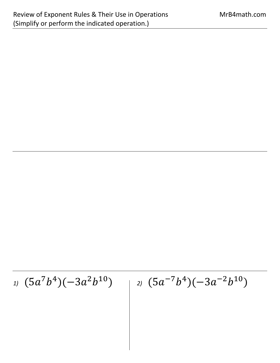*1)* (5*a*<sup>7</sup>*b*<sup>4</sup>)(−3*a*<sup>2</sup>*b*<sup>10</sup>) | *2)* (5*a*<sup>-7</sup>*b*<sup>4</sup>)(−3*a*<sup>-2</sup>*b*<sup>10</sup>)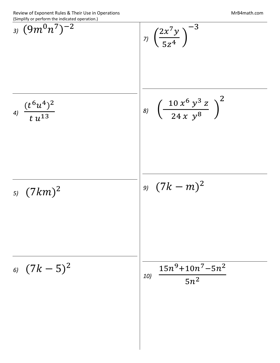$$
\frac{1}{3} \left(\frac{9m^0n^7}{2}\right)^{-2}
$$
\n
$$
\frac{1}{4} \left(\frac{t^6u^4}{t^4}\right)^2
$$
\n
$$
\frac{1}{5} \left(\frac{10x^6y^3z}{t^4}\right)^{-3}
$$
\n
$$
\frac{1}{5} \left(\frac{10x^6y^3z}{24xy^8}\right)^2
$$
\n
$$
\frac{1}{5} \left(\frac{7km^2}{t^4}\right)^{-1}
$$
\n
$$
\frac{15n^9 + 10n^7 - 5n^2}{t^4}
$$
\n
$$
\frac{15n^9 + 10n^7 - 5n^2}{t^4}
$$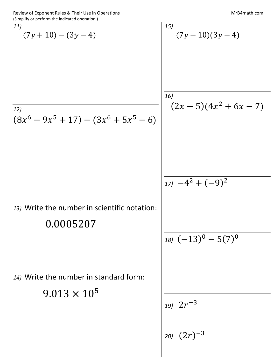$$
\frac{15}{(7y+10)-(3y-4)}
$$
\n
$$
\frac{15}{(7y+10)(3y-4)}
$$
\n
$$
\frac{15}{(7y+10)(3y-4)}
$$
\n
$$
\frac{15}{(7y+10)(3y-4)}
$$
\n
$$
\frac{15}{(7y+10)(3y-4)}
$$
\n
$$
\frac{15}{(7y+10)(3y-4)}
$$
\n
$$
\frac{15}{(7y+10)(3y-4)}
$$
\n
$$
\frac{15}{(7y+10)(3y-4)}
$$
\n
$$
\frac{15}{(7y+10)(3y-4)}
$$
\n
$$
\frac{15}{(7y+10)(3y-4)}
$$
\n
$$
\frac{15}{(7y+10)(3y-4)}
$$
\n
$$
\frac{15}{(7y+10)(3y-4)}
$$
\n
$$
\frac{15}{(7y+10)(3y-4)}
$$
\n
$$
\frac{15}{(7y+10)(3y-4)}
$$
\n
$$
\frac{15}{(7y+10)(3y-4)}
$$
\n
$$
\frac{15}{(7y+10)(3y-4)}
$$
\n
$$
\frac{15}{(7y+10)(3y-4)}
$$
\n
$$
\frac{15}{(7y+10)(3y-4)}
$$
\n
$$
\frac{15}{(7y+10)(3y-4)}
$$
\n
$$
\frac{15}{(7y+10)(3y-4)}
$$
\n
$$
\frac{15}{(7y+10)(3y-4)}
$$
\n
$$
\frac{15}{(7y+10)(3y-4)}
$$
\n
$$
\frac{15}{(7y+10)(3y-4)}
$$
\n
$$
\frac{15}{(7y+10)(3y-4)}
$$
\n
$$
\frac{15}{(7y+10)(3y-4)}
$$
\n
$$
\frac{15}{(7y+10)(3y-4)}
$$
\n
$$
\frac{15}{(7y+10)(3y-4)}
$$
\n
$$
\frac{15}{(7y+10)(3y-4)}
$$
\n
$$
\frac{15}{(7y+10)(3y-4)}
$$
\n
$$
\frac{15}{
$$

 $\overline{\phantom{a}}$